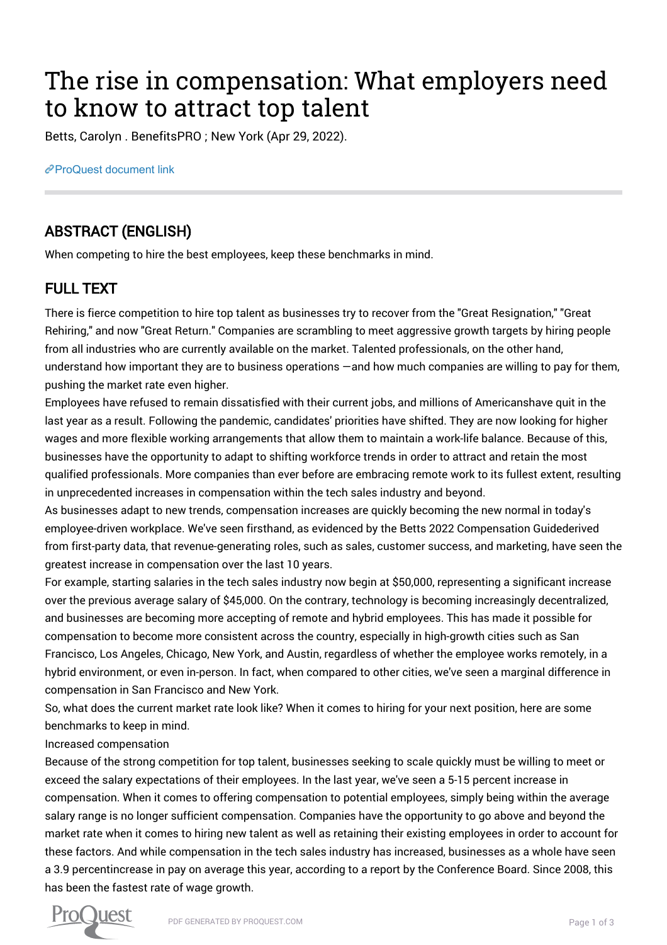# The rise in compensation: What employers need to know to attract top talent

Betts, Carolyn . BenefitsPRO ; New York (Apr 29, 2022).

[ProQuest document link](https://www.proquest.com/trade-journals/rise-compensation-what-employers-need-know/docview/2656900377/se-2?accountid=44910)

## ABSTRACT (ENGLISH)

When competing to hire the best employees, keep these benchmarks in mind.

## FULL TEXT

There is fierce competition to hire top talent as businesses try to recover from the "Great Resignation," "Great Rehiring," and now "Great Return." Companies are scrambling to meet aggressive growth targets by hiring people from all industries who are currently available on the market. Talented professionals, on the other hand, understand how important they are to business operations —and how much companies are willing to pay for them, pushing the market rate even higher.

Employees have refused to remain dissatisfied with their current jobs, and millions of Americanshave quit in the last year as a result. Following the pandemic, candidates' priorities have shifted. They are now looking for higher wages and more flexible working arrangements that allow them to maintain a work-life balance. Because of this, businesses have the opportunity to adapt to shifting workforce trends in order to attract and retain the most qualified professionals. More companies than ever before are embracing remote work to its fullest extent, resulting in unprecedented increases in compensation within the tech sales industry and beyond.

As businesses adapt to new trends, compensation increases are quickly becoming the new normal in today's employee-driven workplace. We've seen firsthand, as evidenced by the Betts 2022 Compensation Guidederived from first-party data, that revenue-generating roles, such as sales, customer success, and marketing, have seen the greatest increase in compensation over the last 10 years.

For example, starting salaries in the tech sales industry now begin at \$50,000, representing a significant increase over the previous average salary of \$45,000. On the contrary, technology is becoming increasingly decentralized, and businesses are becoming more accepting of remote and hybrid employees. This has made it possible for compensation to become more consistent across the country, especially in high-growth cities such as San Francisco, Los Angeles, Chicago, New York, and Austin, regardless of whether the employee works remotely, in a hybrid environment, or even in-person. In fact, when compared to other cities, we've seen a marginal difference in compensation in San Francisco and New York.

So, what does the current market rate look like? When it comes to hiring for your next position, here are some benchmarks to keep in mind.

#### Increased compensation

Because of the strong competition for top talent, businesses seeking to scale quickly must be willing to meet or exceed the salary expectations of their employees. In the last year, we've seen a 5-15 percent increase in compensation. When it comes to offering compensation to potential employees, simply being within the average salary range is no longer sufficient compensation. Companies have the opportunity to go above and beyond the market rate when it comes to hiring new talent as well as retaining their existing employees in order to account for these factors. And while compensation in the tech sales industry has increased, businesses as a whole have seen a 3.9 percentincrease in pay on average this year, according to a report by the Conference Board. Since 2008, this has been the fastest rate of wage growth.

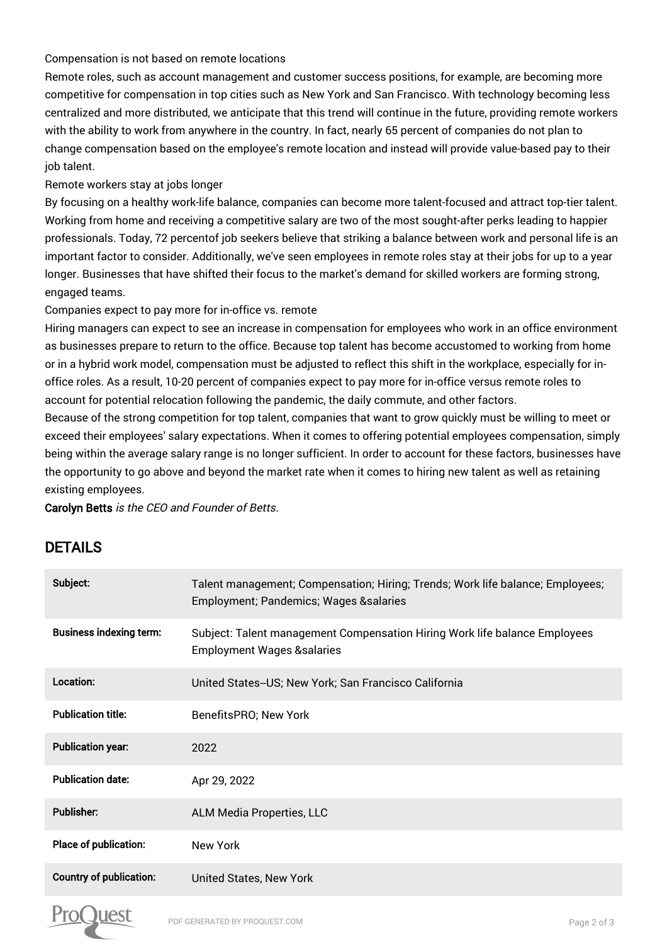#### Compensation is not based on remote locations

Remote roles, such as account management and customer success positions, for example, are becoming more competitive for compensation in top cities such as New York and San Francisco. With technology becoming less centralized and more distributed, we anticipate that this trend will continue in the future, providing remote workers with the ability to work from anywhere in the country. In fact, nearly 65 percent of companies do not plan to change compensation based on the employee's remote location and instead will provide value-based pay to their job talent.

#### Remote workers stay at jobs longer

By focusing on a healthy work-life balance, companies can become more talent-focused and attract top-tier talent. Working from home and receiving a competitive salary are two of the most sought-after perks leading to happier professionals. Today, 72 percentof job seekers believe that striking a balance between work and personal life is an important factor to consider. Additionally, we've seen employees in remote roles stay at their jobs for up to a year longer. Businesses that have shifted their focus to the market's demand for skilled workers are forming strong, engaged teams.

Companies expect to pay more for in-office vs. remote

Hiring managers can expect to see an increase in compensation for employees who work in an office environment as businesses prepare to return to the office. Because top talent has become accustomed to working from home or in a hybrid work model, compensation must be adjusted to reflect this shift in the workplace, especially for inoffice roles. As a result, 10-20 percent of companies expect to pay more for in-office versus remote roles to account for potential relocation following the pandemic, the daily commute, and other factors.

Because of the strong competition for top talent, companies that want to grow quickly must be willing to meet or exceed their employees' salary expectations. When it comes to offering potential employees compensation, simply being within the average salary range is no longer sufficient. In order to account for these factors, businesses have the opportunity to go above and beyond the market rate when it comes to hiring new talent as well as retaining existing employees.

Carolyn Betts is the CEO and Founder of Betts.

### DETAILS

| Subject:                       | Talent management; Compensation; Hiring; Trends; Work life balance; Employees;<br><b>Employment; Pandemics; Wages &amp;salaries</b> |
|--------------------------------|-------------------------------------------------------------------------------------------------------------------------------------|
| <b>Business indexing term:</b> | Subject: Talent management Compensation Hiring Work life balance Employees<br><b>Employment Wages &amp;salaries</b>                 |
| Location:                      | United States--US; New York; San Francisco California                                                                               |
| <b>Publication title:</b>      | BenefitsPRO; New York                                                                                                               |
| <b>Publication year:</b>       | 2022                                                                                                                                |
| <b>Publication date:</b>       | Apr 29, 2022                                                                                                                        |
| <b>Publisher:</b>              | <b>ALM Media Properties, LLC</b>                                                                                                    |
| Place of publication:          | New York                                                                                                                            |
| <b>Country of publication:</b> | <b>United States, New York</b>                                                                                                      |